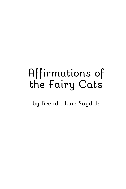# Affirmations of the Fairy Cats

by Brenda June Saydak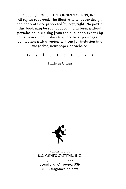Copyright © 2021 U.S. GAMES SYSTEMS, INC. All rights reserved. The illustrations, cover design, and contents are protected by copyright. No part of this book may be reproduced in any form without permission in writing from the publisher, except by a reviewer who wishes to quote brief passages in connection with a review written for inclusion in a magazine, newspaper or website.

10 9 8 7 6 5 4 3 2 1

Made in China



Published by U.S. GAMES SYSTEMS, INC. 179 Ludlow Street Stamford, CT 06902 USA www.usgamesinc.com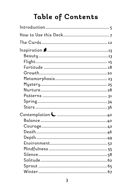## Table of Contents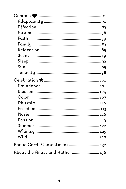| Bonus Card-Contentment  132     |  |
|---------------------------------|--|
| About the Artist and Author 136 |  |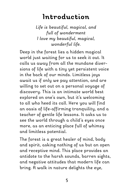## **Introduction**

*Life is beautiful, magical, and full of wonderment I love my beautiful, magical, wonderful life.*

Deep in the forest lies a hidden magical world just waiting for us to seek it out. It calls us away from all the mundane diversions of life with a tiny yet persistent voice in the back of our minds. Limitless joys await us if only we pay attention, and are willing to set out on a personal voyage of discovery. This is an intimate world best explored on one's own, but it's welcoming to all who heed its call. Here you will find an oasis of life-affirming tranquility, and a teacher of gentle life lessons. It asks us to see the world through a child's eyes once more, as an enticing place full of whimsy and limitless potential.

The forest is a great healer of mind, body and spirit, asking nothing of us but an open and receptive mind. This place provides an antidote to the harsh sounds, barren sights, and negative attitudes that modern life can bring. A walk in nature delights the eye,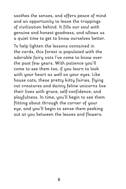soothes the senses, and offers peace of mind and an opportunity to leave the trappings of civilization behind. It fills our soul with genuine and honest goodness, and allows us a quiet time to get to know ourselves better.

To help lighten the lessons contained in the cards, this forest is populated with the adorable fairy cats I've come to know over the past few years. With patience you'll come to see them too, if you learn to look with your heart as well as your eyes. Like house cats, these pretty kitty fairies, flying cat creatures and dainty feline unicorns live their lives with grace, self-confidence, and playfulness. In time, you'll begin to see them flitting about through the corner of your eye, and you'll begin to sense them peeking out at you between the leaves and flowers.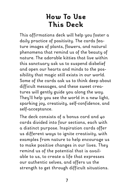## **How To Use This Deck**

This affirmations deck will help you foster a daily practice of positivity. The cards feature images of plants, flowers, and natural phenomena that remind us of the beauty of nature. The adorable kitties that live within this sanctuary ask us to suspend disbelief and open our hearts and minds to the possibility that magic still exists in our world. Some of the cards ask us to think deep about difficult messages, and these sweet creatures will gently guide you along the way. They'll help you see the world in a new light, sparking joy, creativity, self-confidence, and self-acceptance.

The deck consists of a bonus card and 40 cards divided into four sections, each with a distinct purpose. Inspiration cards offer us different ways to ignite creativity, with examples from nature to help encourage us to make positive changes in our lives. They remind us of the potential that is available to us, to create a life that expresses our authentic selves, and offers us the strength to get through difficult situations.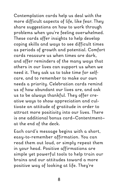Contemplation cards help us deal with the more difficult aspects of life, like fear. They share suggestions on how to work through problems when you're feeling overwhelmed. These cards offer insights to help develop coping skills and ways to see difficult times as periods of growth and potential. Comfort cards reassure us when times are dark, and offer reminders of the many ways that others in our lives can support us when we need it. They ask us to take time for selfcare, and to remember to make our own needs a priority. Celebration cards remind us of how abundant our lives are, and ask us to be always thankful. They offer creative ways to show appreciation and cultivate an attitude of gratitude in order to attract more positivity into our lives. There is one additional bonus card—Contentment at the end of the deck.

Each card's message begins with a short, easy-to-remember affirmation. You can read them out loud, or simply repeat them in your head. Positive affirmations are simple yet powerful tools to help train our brains and our attitudes toward a more positive way of looking at life. They're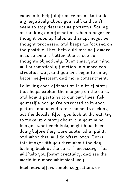especially helpful if you're prone to thinking negatively about yourself, and can't seem to stop destructive patterns. Saying or thinking an affirmation when a negative thought pops up helps us disrupt negative thought processes, and keeps us focused on the positive. They help cultivate self-awareness so we are better able to see our thoughts objectively. Over time, your mind will automatically function in a more constructive way, and you will begin to enjoy better self-esteem and more contentment.

Following each affirmation is a brief story that helps explain the imagery on the card, and how it pertains to our own lives. Ask yourself what you're attracted to in each picture, and spend a few moments seeking out the details. After you look at the cat, try to make up a story about it in your mind. Imagine what each kitty might have been doing before they were captured in paint, and what they will do afterwards. Carry this image with you throughout the day, looking back at the card if necessary. This will help you foster creativity, and see the world in a more whimsical way.

Each card offers simple suggestions or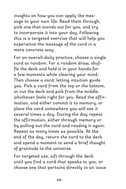insights on how you can apply the message to your own life. Read them through, pick one that stands out for you, and try to incorporate it into your day. Following this is a targeted exercise that will help you experience the message of the card in a more concrete way.

For an overall daily practice, choose a single card at random. For a random draw, shuffle the deck and hold it in your hands for a few moments while clearing your mind. Then choose a card, letting intuition guide you. Pick a card from the top or the bottom, or cut the deck and pick from the middle, whichever feels right for you. Read the affirmation, and either commit it to memory, or place the card somewhere you will see it several times a day. During the day repeat the affirmation, either through memory or by pulling out the card and reading it again. Repeat as many times as possible. At the end of the day, return the card to the deck and spend a moment to send a brief thought of gratitude to the universe.

For targeted use, sift through the deck until you find a card that speaks to you, or choose one that pertains directly to an issue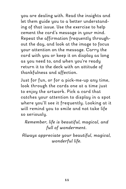you are dealing with. Read the insights and let them guide you to a better understanding of that issue. Use the exercise to help cement the card's message in your mind. Repeat the affirmation frequently throughout the day, and look at the image to focus your attention on the message. Carry the card with you or keep it on display as long as you need to, and when you're ready return it to the deck with an attitude of thankfulness and affection.

Just for fun, or for a pick-me-up any time, look through the cards one at a time just to enjoy the artwork. Pick a card that catches your attention to display in a spot where you'll see it frequently. Looking at it will remind you to smile and not take life so seriously.

*Remember, life is beautiful, magical, and full of wonderment.*

*Always appreciate your beautiful, magical, wonderful life.*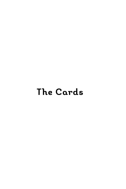## **The Cards**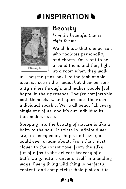## **INSPIRATION**



## **Beauty**

*I am the beautiful that is right for me.*

We all know that one person who radiates personality and charm. You want to be around them, and they light up a room when they walk

in. They may not look like the fashionable ideal we see in the media, but their personality shines through, and makes people feel happy in their presence. They're comfortable with themselves, and appreciate their own individual sparkle. We're all beautiful, every single one of us, and it's our individuality that makes us so.

Stepping into the beauty of nature is like a balm to the soul. It exists in infinite diversity, in every color, shape, and size you could ever dream about. From the tiniest clover to the rarest rose, from the silky fur of a fox to the delicate tracery of a bat's wing, nature unveils itself in unending ways. Every living wild thing is perfectly content, and completely whole just as it is.

 $413$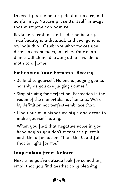Diversity is the beauty ideal in nature, not conformity. Nature presents itself in ways that everyone can admire!

It's time to rethink and redefine beauty. True beauty is individual, and everyone is an individual. Celebrate what makes you different from everyone else. Your confidence will shine, drawing admirers like a moth to a flame!

#### **Embracing Your Personal Beauty**

- Be kind to yourself. No one is judging you as harshly as you are judging yourself.
- Stop striving for perfection. Perfection is the realm of the immortals, not humans. We're by definition not perfect—embrace that.
- Find your own signature style and dress to make yourself happy.
- When you find that negative voice in your head saying you don't measure up, reply with the affirmation: "I am the beautiful that is right for me."

#### **Inspiration from Nature**

Next time you're outside look for something small that you find aesthetically pleasing

 $414$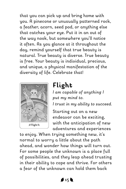that you can pick up and bring home with you. A pinecone or unusually patterned rock, a feather, acorn, seed pod, or anything else that catches your eye. Put it in an out of the way nook, but somewhere you'll notice it often. As you glance at it throughout the day, remind yourself that true beauty is natural. True beauty is diverse. True beauty is free. Your beauty is individual, precious, and unique, a physical manifestation of the diversity of life. Celebrate that!



## **Flight**

*I am capable of anything I put my mind to.*

*I trust in my ability to succeed.*

Starting out on a new endeavor can be exciting, with the anticipation of new adventures and experiences

to enjoy. When trying something new, it's normal to worry a little about the path ahead, and wonder how things will turn out. For some people the unknown is a place full of possibilities, and they leap ahead trusting in their ability to cope and thrive. For others a fear of the unknown can hold them back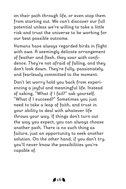on their path through life, or even stop them from starting out. We can't discover our full potential unless we're willing to take a little risk and trust the universe to be working for our best possible outcome.

Humans have always regarded birds in flight with awe. A seemingly delicate arrangement of feather and flesh, they soar with confidence. They're not afraid of falling, and they don't look down. They're fully, passionately, and fearlessly committed to the moment.

Don't let worry hold you back from experiencing a joyful and meaningful life. Instead of asking, "What if I fail?" ask yourself, "What if I succeed?" Sometimes you just need to take a leap of faith, and trust in your ability to deal with whatever life throws your way. If things don't turn out the way you expect, you can always choose another path. There is no such thing as failure, just an opportunity to seek another solution. On the other hand, if you don't try, you'll never know the possibilities you're capable of.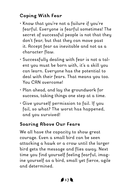### **Coping With Fear**

- Know that you're not a failure if you're fearful. Everyone is fearful sometimes! The secret of successful people is not that they don't fear, but that they can move past it. Accept fear as inevitable and not as a character flaw.
- Successfully dealing with fear is not a talent you must be born with, it's a skill you can learn. Everyone has the potential to deal with their fears. That means you too. You CAN overcome!
- Plan ahead, and lay the groundwork for success, taking things one step at a time.
- Give yourself permission to fail. If you fail, so what? The worst has happened, and you survived!

#### **Soaring Above Our Fears**

We all have the capacity to show great courage. Even a small bird can be seen attacking a hawk or a crow until the larger bird gets the message and flies away. Next time you find yourself feeling fearful, imagine yourself as a bird, small yet fierce, agile and determined.

#### $417b$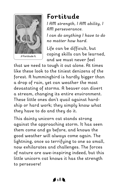

## **Fortitude**

*I AM strength, I AM ability, I AM perseverance.*

*I can do anything I have to do no matter how hard.*

Life can be difficult, but coping skills can be learned, and we must never feel

that we need to tough it out alone. At times like these look to the tiniest denizens of the forest. A hummingbird is hardly bigger than a drop of rain, yet can weather the most devastating of storms. A beaver can divert a stream, changing its entire environment. These little ones don't quail against hardship or hard work; they simply know what they have to do and they do it.

This dainty unicorn cat stands strong against the approaching storm. It has seen them come and go before, and knows the good weather will always come again. The lightning, once so terrifying to one so small, now exhilarates and challenges. The forces of nature are awe-inspiring indeed, but this little unicorn cat knows it has the strength to persevere!

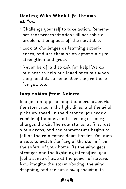#### **Dealing With What Life Throws at You**

- Challenge yourself to take action. Remember that procrastination will not solve a problem, it only puts off the inevitable.
- Look at challenges as learning experiences, and use them as an opportunity to strengthen and grow.
- Never be afraid to ask for help! We do our best to help our loved ones out when they need it, so remember they're there for you too.

#### **Inspiration from Nature**

Imagine an approaching thundershower. As the storm nears the light dims, and the wind picks up speed. In the distance you hear a rumble of thunder, and a feeling of energy charges the air. The rain starts, at first just a few drops, and the temperature begins to fall as the rain comes down harder. You step inside, to watch the fury of the storm from the safety of your home. As the wind gets stronger and the lightning intensifies, you feel a sense of awe at the power of nature. Now imagine the storm abating, the wind dropping, and the sun slowly showing its